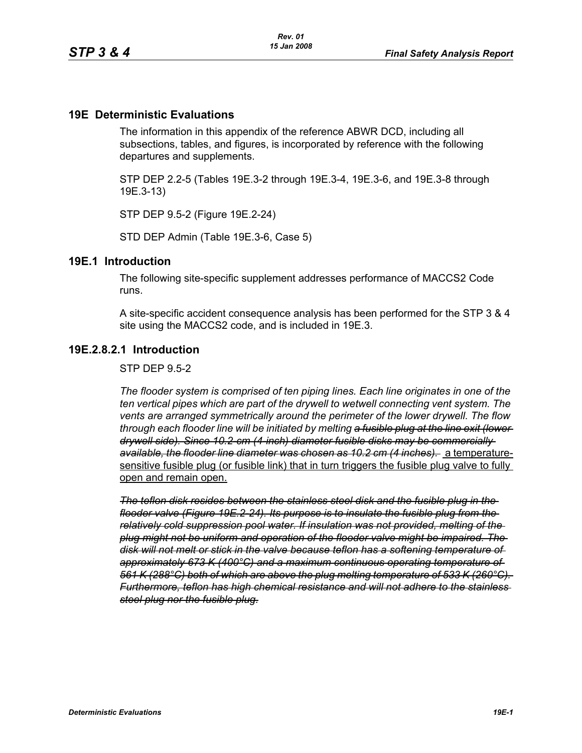#### **19E Deterministic Evaluations**

The information in this appendix of the reference ABWR DCD, including all subsections, tables, and figures, is incorporated by reference with the following departures and supplements.

STP DEP 2.2-5 (Tables 19E.3-2 through 19E.3-4, 19E.3-6, and 19E.3-8 through 19E.3-13)

STP DEP 9.5-2 (Figure 19E.2-24)

STD DEP Admin (Table 19E.3-6, Case 5)

#### **19E.1 Introduction**

The following site-specific supplement addresses performance of MACCS2 Code runs.

A site-specific accident consequence analysis has been performed for the STP 3 & 4 site using the MACCS2 code, and is included in 19E.3.

## **19E.2.8.2.1 Introduction**

STP DEP 9.5-2

*The flooder system is comprised of ten piping lines. Each line originates in one of the ten vertical pipes which are part of the drywell to wetwell connecting vent system. The vents are arranged symmetrically around the perimeter of the lower drywell. The flow through each flooder line will be initiated by melting a fusible plug at the line exit (lower drywell side). Since 10.2-cm (4-inch) diameter fusible disks may be commercially available, the flooder line diameter was chosen as 10.2 cm (4 inches).* a temperaturesensitive fusible plug (or fusible link) that in turn triggers the fusible plug valve to fully open and remain open.

*The teflon disk resides between the stainless steel disk and the fusible plug in the flooder valve (Figure 19E.2-24). Its purpose is to insulate the fusible plug from the relatively cold suppression pool water. If insulation was not provided, melting of the plug might not be uniform and operation of the flooder valve might be impaired. The disk will not melt or stick in the valve because teflon has a softening temperature of approximately 673 K (400°C) and a maximum continuous operating temperature of 561 K (288°C) both of which are above the plug melting temperature of 533 K (260°C). Furthermore, teflon has high chemical resistance and will not adhere to the stainless steel plug nor the fusible plug.*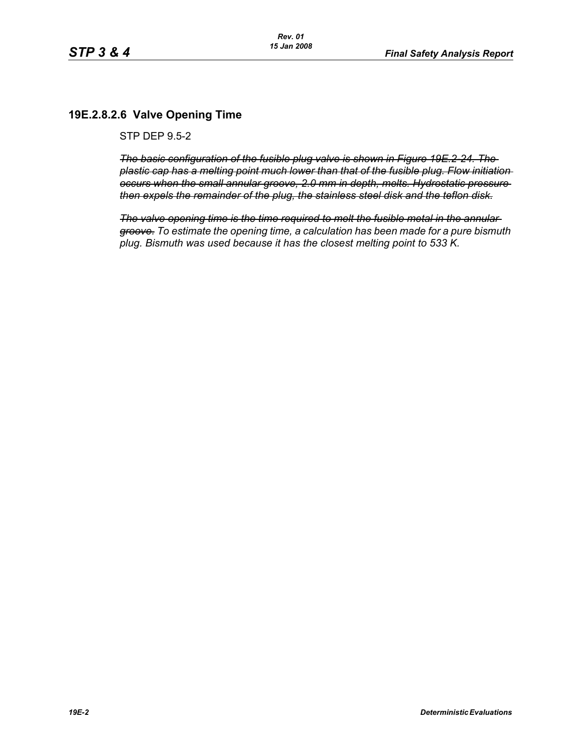# **19E.2.8.2.6 Valve Opening Time**

STP DEP 9.5-2

*The basic configuration of the fusible plug valve is shown in Figure 19E.2-24. The plastic cap has a melting point much lower than that of the fusible plug. Flow initiation occurs when the small annular groove, 2.0 mm in depth, melts. Hydrostatic pressure then expels the remainder of the plug, the stainless steel disk and the teflon disk.*

*The valve opening time is the time required to melt the fusible metal in the annular groove. To estimate the opening time, a calculation has been made for a pure bismuth plug. Bismuth was used because it has the closest melting point to 533 K.*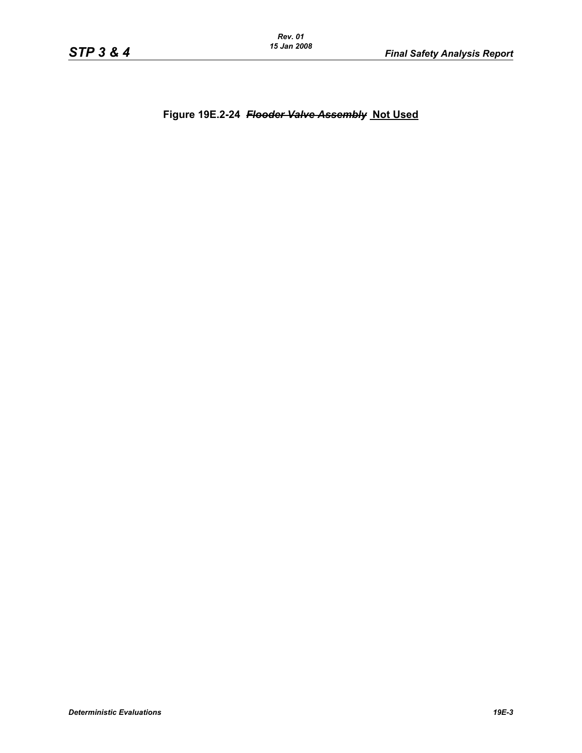*Rev. 01 15 Jan 2008*

**Figure 19E.2-24** *Flooder Valve Assembly* **Not Used**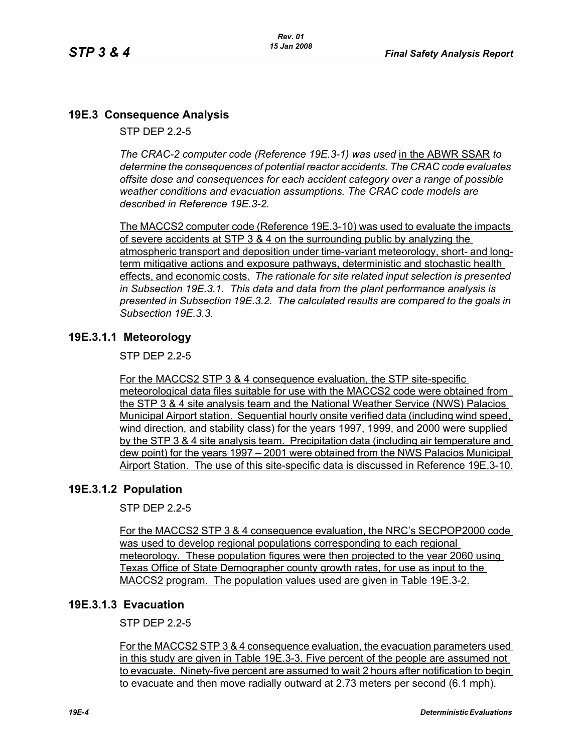# **19E.3 Consequence Analysis**

STP DEP 2.2-5

*The CRAC-2 computer code (Reference 19E.3-1) was used* in the ABWR SSAR *to determine the consequences of potential reactor accidents. The CRAC code evaluates offsite dose and consequences for each accident category over a range of possible weather conditions and evacuation assumptions. The CRAC code models are described in Reference 19E.3-2.* 

The MACCS2 computer code (Reference 19E.3-10) was used to evaluate the impacts of severe accidents at STP 3 & 4 on the surrounding public by analyzing the atmospheric transport and deposition under time-variant meteorology, short- and longterm mitigative actions and exposure pathways, deterministic and stochastic health effects, and economic costs. *The rationale for site related input selection is presented in Subsection 19E.3.1. This data and data from the plant performance analysis is presented in Subsection 19E.3.2. The calculated results are compared to the goals in Subsection 19E.3.3.*

# **19E.3.1.1 Meteorology**

STP DEP 2.2-5

For the MACCS2 STP 3 & 4 consequence evaluation, the STP site-specific meteorological data files suitable for use with the MACCS2 code were obtained from the STP 3 & 4 site analysis team and the National Weather Service (NWS) Palacios Municipal Airport station. Sequential hourly onsite verified data (including wind speed, wind direction, and stability class) for the years 1997, 1999, and 2000 were supplied by the STP 3 & 4 site analysis team. Precipitation data (including air temperature and dew point) for the years 1997 – 2001 were obtained from the NWS Palacios Municipal Airport Station. The use of this site-specific data is discussed in Reference 19E.3-10.

# **19E.3.1.2 Population**

STP DEP 2.2-5

For the MACCS2 STP 3 & 4 consequence evaluation, the NRC's SECPOP2000 code was used to develop regional populations corresponding to each regional meteorology. These population figures were then projected to the year 2060 using Texas Office of State Demographer county growth rates, for use as input to the MACCS2 program. The population values used are given in Table 19E.3-2.

# **19E.3.1.3 Evacuation**

STP DEP 2.2-5

For the MACCS2 STP 3 & 4 consequence evaluation, the evacuation parameters used in this study are given in Table 19E.3-3. Five percent of the people are assumed not to evacuate. Ninety-five percent are assumed to wait 2 hours after notification to begin to evacuate and then move radially outward at 2.73 meters per second (6.1 mph).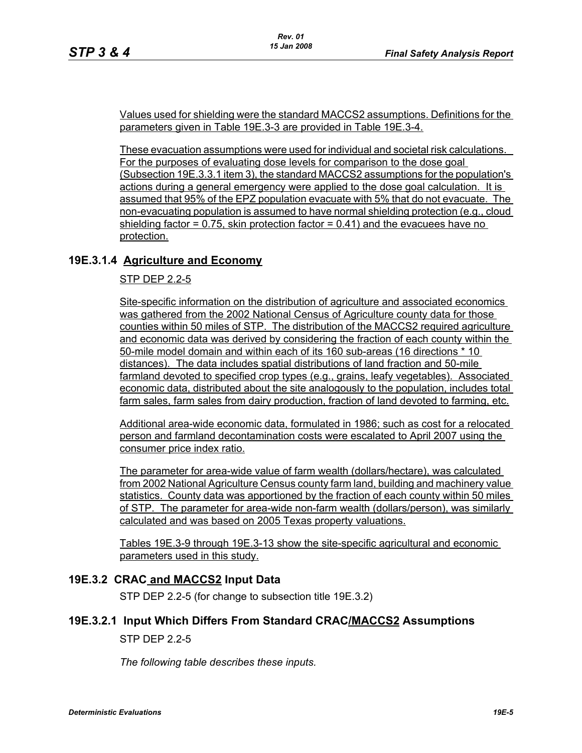Values used for shielding were the standard MACCS2 assumptions. Definitions for the parameters given in Table 19E.3-3 are provided in Table 19E.3-4.

These evacuation assumptions were used for individual and societal risk calculations. For the purposes of evaluating dose levels for comparison to the dose goal (Subsection 19E.3.3.1 item 3), the standard MACCS2 assumptions for the population's actions during a general emergency were applied to the dose goal calculation. It is assumed that 95% of the EPZ population evacuate with 5% that do not evacuate. The non-evacuating population is assumed to have normal shielding protection (e.g., cloud shielding factor  $= 0.75$ , skin protection factor  $= 0.41$ ) and the evacuees have no protection.

## **19E.3.1.4 Agriculture and Economy**

STP DEP 2.2-5

Site-specific information on the distribution of agriculture and associated economics was gathered from the 2002 National Census of Agriculture county data for those counties within 50 miles of STP. The distribution of the MACCS2 required agriculture and economic data was derived by considering the fraction of each county within the 50-mile model domain and within each of its 160 sub-areas (16 directions \* 10 distances). The data includes spatial distributions of land fraction and 50-mile farmland devoted to specified crop types (e.g., grains, leafy vegetables). Associated economic data, distributed about the site analogously to the population, includes total farm sales, farm sales from dairy production, fraction of land devoted to farming, etc.

Additional area-wide economic data, formulated in 1986; such as cost for a relocated person and farmland decontamination costs were escalated to April 2007 using the consumer price index ratio.

The parameter for area-wide value of farm wealth (dollars/hectare), was calculated from 2002 National Agriculture Census county farm land, building and machinery value statistics. County data was apportioned by the fraction of each county within 50 miles of STP. The parameter for area-wide non-farm wealth (dollars/person), was similarly calculated and was based on 2005 Texas property valuations.

Tables 19E.3-9 through 19E.3-13 show the site-specific agricultural and economic parameters used in this study.

#### **19E.3.2 CRAC and MACCS2 Input Data**

STP DEP 2.2-5 (for change to subsection title 19E.3.2)

#### **19E.3.2.1 Input Which Differs From Standard CRAC/MACCS2 Assumptions**

STP DEP 2.2-5

*The following table describes these inputs.*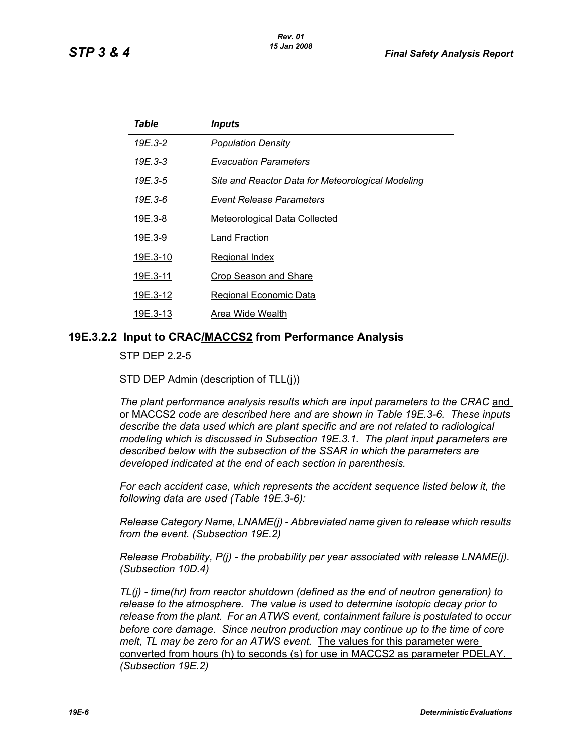| Table    | <i><b>Inputs</b></i>                              |
|----------|---------------------------------------------------|
| 19E.3-2  | <b>Population Density</b>                         |
| 19E.3-3  | <b>Evacuation Parameters</b>                      |
| 19E.3-5  | Site and Reactor Data for Meteorological Modeling |
| 19E 3-6  | Event Release Parameters                          |
| 19E.3-8  | <b>Meteorological Data Collected</b>              |
| 19E.3-9  | Land Fraction                                     |
| 19E.3-10 | <b>Regional Index</b>                             |
| 19E.3-11 | <b>Crop Season and Share</b>                      |
| 19E.3-12 | <b>Regional Economic Data</b>                     |
| 19E.3-13 | Area Wide Wealth                                  |

#### **19E.3.2.2 Input to CRAC/MACCS2 from Performance Analysis**

STP DEP 2.2-5

STD DEP Admin (description of TLL(j))

The plant performance analysis results which are input parameters to the CRAC and or MACCS2 *code are described here and are shown in Table 19E.3-6. These inputs describe the data used which are plant specific and are not related to radiological modeling which is discussed in Subsection 19E.3.1. The plant input parameters are described below with the subsection of the SSAR in which the parameters are developed indicated at the end of each section in parenthesis.*

*For each accident case, which represents the accident sequence listed below it, the following data are used (Table 19E.3-6):*

*Release Category Name, LNAME(j) - Abbreviated name given to release which results from the event. (Subsection 19E.2)*

*Release Probability, P(j) - the probability per year associated with release LNAME(j). (Subsection 10D.4)*

*TL(j) - time(hr) from reactor shutdown (defined as the end of neutron generation) to release to the atmosphere. The value is used to determine isotopic decay prior to release from the plant. For an ATWS event, containment failure is postulated to occur before core damage. Since neutron production may continue up to the time of core melt, TL may be zero for an ATWS event.* The values for this parameter were converted from hours (h) to seconds (s) for use in MACCS2 as parameter PDELAY. *(Subsection 19E.2)*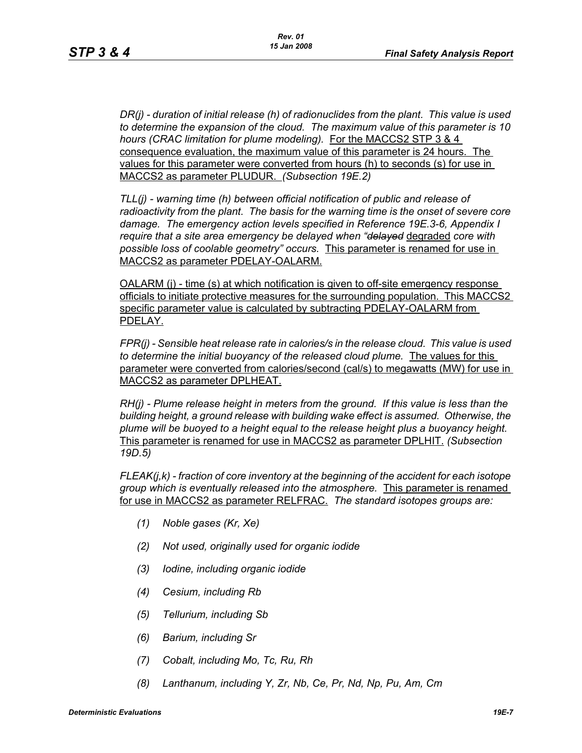*DR(j) - duration of initial release (h) of radionuclides from the plant. This value is used to determine the expansion of the cloud. The maximum value of this parameter is 10 hours (CRAC limitation for plume modeling).* For the MACCS2 STP 3 & 4 consequence evaluation, the maximum value of this parameter is 24 hours. The values for this parameter were converted from hours (h) to seconds (s) for use in MACCS2 as parameter PLUDUR. *(Subsection 19E.2)*

*TLL(j) - warning time (h) between official notification of public and release of radioactivity from the plant. The basis for the warning time is the onset of severe core damage. The emergency action levels specified in Reference 19E.3-6, Appendix I require that a site area emergency be delayed when "delayed* degraded *core with possible loss of coolable geometry" occurs.* This parameter is renamed for use in MACCS2 as parameter PDELAY-OALARM.

OALARM (j) - time (s) at which notification is given to off-site emergency response officials to initiate protective measures for the surrounding population. This MACCS2 specific parameter value is calculated by subtracting PDELAY-OALARM from PDELAY.

*FPR(j) - Sensible heat release rate in calories/s in the release cloud. This value is used to determine the initial buoyancy of the released cloud plume.* The values for this parameter were converted from calories/second (cal/s) to megawatts (MW) for use in MACCS2 as parameter DPLHEAT.

*RH(j) - Plume release height in meters from the ground. If this value is less than the building height, a ground release with building wake effect is assumed. Otherwise, the plume will be buoyed to a height equal to the release height plus a buoyancy height.*  This parameter is renamed for use in MACCS2 as parameter DPLHIT. *(Subsection 19D.5)*

*FLEAK(j,k) - fraction of core inventory at the beginning of the accident for each isotope group which is eventually released into the atmosphere.* This parameter is renamed for use in MACCS2 as parameter RELFRAC. *The standard isotopes groups are:*

- *(1) Noble gases (Kr, Xe)*
- *(2) Not used, originally used for organic iodide*
- *(3) Iodine, including organic iodide*
- *(4) Cesium, including Rb*
- *(5) Tellurium, including Sb*
- *(6) Barium, including Sr*
- *(7) Cobalt, including Mo, Tc, Ru, Rh*
- *(8) Lanthanum, including Y, Zr, Nb, Ce, Pr, Nd, Np, Pu, Am, Cm*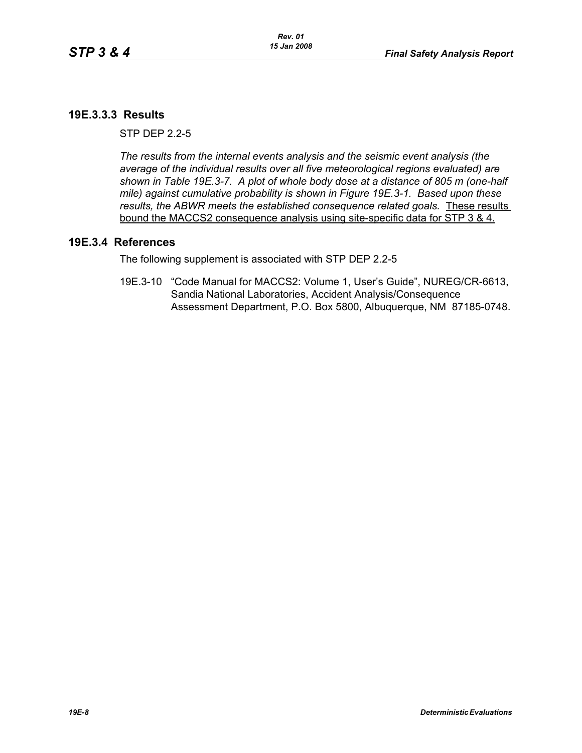# **19E.3.3.3 Results**

 $STP$  DFP  $2.2-5$ 

*The results from the internal events analysis and the seismic event analysis (the average of the individual results over all five meteorological regions evaluated) are shown in Table 19E.3-7. A plot of whole body dose at a distance of 805 m (one-half mile) against cumulative probability is shown in Figure 19E.3-1. Based upon these results, the ABWR meets the established consequence related goals.* These results bound the MACCS2 consequence analysis using site-specific data for STP 3 & 4.

## **19E.3.4 References**

The following supplement is associated with STP DEP 2.2-5

19E.3-10 "Code Manual for MACCS2: Volume 1, User's Guide", NUREG/CR-6613, Sandia National Laboratories, Accident Analysis/Consequence Assessment Department, P.O. Box 5800, Albuquerque, NM 87185-0748.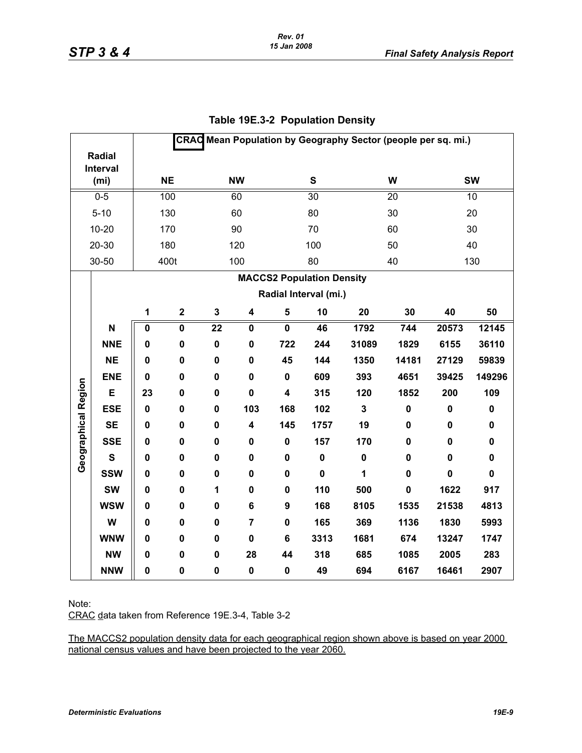| CRAC Mean Population by Geography Sector (people per sq. mi.) |                    |              |             |             |                         |                         |                                  |             |             |             |             |
|---------------------------------------------------------------|--------------------|--------------|-------------|-------------|-------------------------|-------------------------|----------------------------------|-------------|-------------|-------------|-------------|
|                                                               | Radial<br>Interval |              |             |             |                         |                         |                                  |             |             |             |             |
|                                                               | (m <sub>i</sub> )  | <b>NE</b>    |             |             | <b>NW</b>               |                         | S                                |             | W           | <b>SW</b>   |             |
|                                                               | $0 - 5$            | 100          |             |             | 60                      |                         | 30                               |             | 20          | 10          |             |
|                                                               | $5 - 10$           |              | 130         |             | 60                      |                         | 80                               |             | 30          | 20          |             |
|                                                               | $10 - 20$          |              | 170         |             | 90                      |                         | 70                               |             | 60          |             | 30          |
|                                                               | $20 - 30$          |              | 180         |             | 120                     |                         | 100                              |             | 50          |             | 40          |
|                                                               | 30-50              |              | 400t        |             | 100                     |                         | 80                               |             | 40          |             | 130         |
|                                                               |                    |              |             |             |                         |                         | <b>MACCS2 Population Density</b> |             |             |             |             |
|                                                               |                    |              |             |             |                         |                         | Radial Interval (mi.)            |             |             |             |             |
|                                                               |                    | $\mathbf{1}$ | $\mathbf 2$ | $\mathbf 3$ | $\overline{\mathbf{4}}$ | $\sqrt{5}$              | 10                               | 20          | 30          | 40          | 50          |
|                                                               | N                  | 0            | 0           | 22          | 0                       | $\mathbf 0$             | 46                               | 1792        | 744         | 20573       | 12145       |
|                                                               | <b>NNE</b>         | 0            | 0           | $\pmb{0}$   | $\mathbf 0$             | 722                     | 244                              | 31089       | 1829        | 6155        | 36110       |
|                                                               | <b>NE</b>          | 0            | 0           | $\mathbf 0$ | $\mathbf 0$             | 45                      | 144                              | 1350        | 14181       | 27129       | 59839       |
|                                                               | <b>ENE</b>         | $\mathbf 0$  | $\mathbf 0$ | $\mathbf 0$ | $\mathbf 0$             | $\mathbf 0$             | 609                              | 393         | 4651        | 39425       | 149296      |
| Geographical Region                                           | E                  | 23           | 0           | $\mathbf 0$ | $\mathbf 0$             | $\overline{\mathbf{4}}$ | 315                              | 120         | 1852        | 200         | 109         |
|                                                               | <b>ESE</b>         | $\mathbf 0$  | 0           | 0           | 103                     | 168                     | 102                              | $\mathbf 3$ | $\pmb{0}$   | $\pmb{0}$   | $\pmb{0}$   |
|                                                               | <b>SE</b>          | 0            | 0           | $\pmb{0}$   | 4                       | 145                     | 1757                             | 19          | 0           | $\pmb{0}$   | 0           |
|                                                               | <b>SSE</b>         | 0            | 0           | $\mathbf 0$ | 0                       | $\mathbf 0$             | 157                              | 170         | $\mathbf 0$ | $\pmb{0}$   | $\mathbf 0$ |
|                                                               | $\mathbf{s}$       | 0            | 0           | $\mathbf 0$ | $\mathbf 0$             | $\mathbf 0$             | $\mathbf 0$                      | $\mathbf 0$ | $\mathbf 0$ | $\mathbf 0$ | $\mathbf 0$ |
|                                                               | <b>SSW</b>         | 0            | 0           | $\mathbf 0$ | 0                       | $\mathbf 0$             | $\mathbf 0$                      | 1           | $\mathbf 0$ | $\mathbf 0$ | $\mathbf 0$ |
|                                                               | <b>SW</b>          | 0            | 0           | 1           | 0                       | 0                       | 110                              | 500         | $\pmb{0}$   | 1622        | 917         |
|                                                               | <b>WSW</b>         | $\mathbf 0$  | 0           | $\mathbf 0$ | 6                       | 9                       | 168                              | 8105        | 1535        | 21538       | 4813        |
|                                                               | W                  | 0            | 0           | $\mathbf 0$ | $\overline{7}$          | $\mathbf 0$             | 165                              | 369         | 1136        | 1830        | 5993        |
|                                                               | <b>WNW</b>         | 0            | 0           | $\mathbf 0$ | $\mathbf 0$             | 6                       | 3313                             | 1681        | 674         | 13247       | 1747        |
|                                                               | <b>NW</b>          | 0            | 0           | $\mathbf 0$ | 28                      | 44                      | 318                              | 685         | 1085        | 2005        | 283         |
|                                                               | <b>NNW</b>         | 0            | 0           | $\pmb{0}$   | $\pmb{0}$               | $\pmb{0}$               | 49                               | 694         | 6167        | 16461       | 2907        |

# **Table 19E.3-2 Population Density**

Note:

CRAC data taken from Reference 19E.3-4, Table 3-2

The MACCS2 population density data for each geographical region shown above is based on year 2000 national census values and have been projected to the year 2060.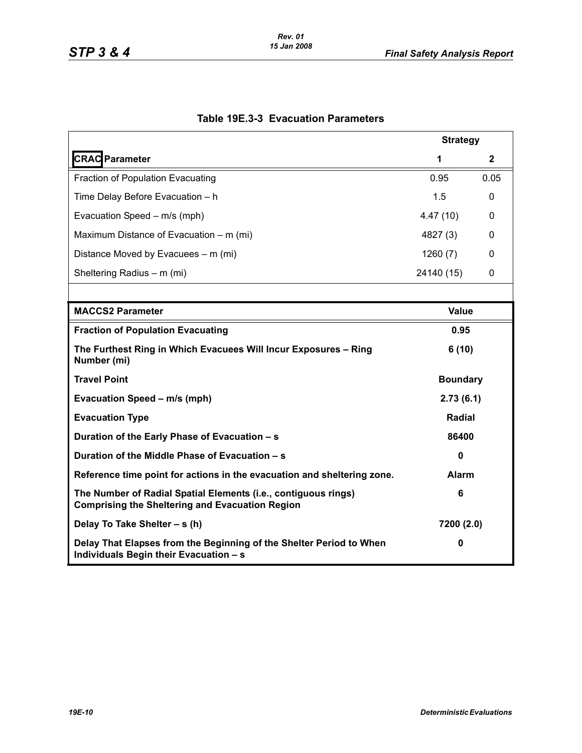|                                                                                                                          | <b>Strategy</b> |              |
|--------------------------------------------------------------------------------------------------------------------------|-----------------|--------------|
| <b>CRAC</b> Parameter                                                                                                    | 1               | $\mathbf{2}$ |
| <b>Fraction of Population Evacuating</b>                                                                                 | 0.95            | 0.05         |
| Time Delay Before Evacuation - h                                                                                         | 1.5             | 0            |
| Evacuation Speed - m/s (mph)                                                                                             | 4.47(10)        | 0            |
| Maximum Distance of Evacuation – m (mi)                                                                                  | 4827 (3)        | 0            |
| Distance Moved by Evacuees – m (mi)                                                                                      | 1260(7)         | 0            |
| Sheltering Radius - m (mi)                                                                                               | 24140 (15)      | 0            |
|                                                                                                                          |                 |              |
| <b>MACCS2 Parameter</b>                                                                                                  | <b>Value</b>    |              |
| <b>Fraction of Population Evacuating</b>                                                                                 | 0.95            |              |
| The Furthest Ring in Which Evacuees Will Incur Exposures - Ring<br>Number (mi)                                           | 6(10)           |              |
| <b>Travel Point</b>                                                                                                      | <b>Boundary</b> |              |
| Evacuation Speed - m/s (mph)                                                                                             | 2.73(6.1)       |              |
| <b>Evacuation Type</b>                                                                                                   | Radial          |              |
| Duration of the Early Phase of Evacuation - s                                                                            | 86400           |              |
| Duration of the Middle Phase of Evacuation - s                                                                           | 0               |              |
| Reference time point for actions in the evacuation and sheltering zone.                                                  | <b>Alarm</b>    |              |
| The Number of Radial Spatial Elements (i.e., contiguous rings)<br><b>Comprising the Sheltering and Evacuation Region</b> | 6               |              |
| Delay To Take Shelter - s (h)                                                                                            | 7200 (2.0)      |              |
| Delay That Elapses from the Beginning of the Shelter Period to When<br>Individuals Begin their Evacuation - s            | 0               |              |

# **Table 19E.3-3 Evacuation Parameters**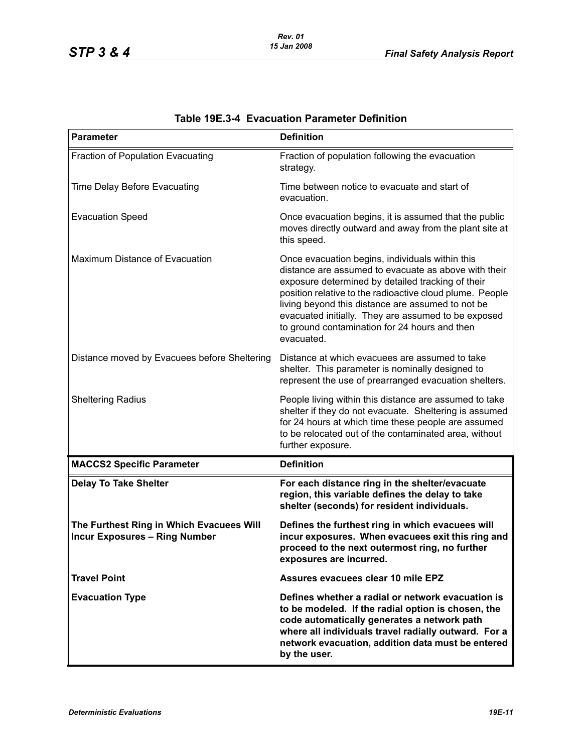| <b>Parameter</b>                                                                 | <b>Definition</b>                                                                                                                                                                                                                                                                                                                                                                                   |
|----------------------------------------------------------------------------------|-----------------------------------------------------------------------------------------------------------------------------------------------------------------------------------------------------------------------------------------------------------------------------------------------------------------------------------------------------------------------------------------------------|
| Fraction of Population Evacuating                                                | Fraction of population following the evacuation<br>strategy.                                                                                                                                                                                                                                                                                                                                        |
| Time Delay Before Evacuating                                                     | Time between notice to evacuate and start of<br>evacuation.                                                                                                                                                                                                                                                                                                                                         |
| <b>Evacuation Speed</b>                                                          | Once evacuation begins, it is assumed that the public<br>moves directly outward and away from the plant site at<br>this speed.                                                                                                                                                                                                                                                                      |
| Maximum Distance of Evacuation                                                   | Once evacuation begins, individuals within this<br>distance are assumed to evacuate as above with their<br>exposure determined by detailed tracking of their<br>position relative to the radioactive cloud plume. People<br>living beyond this distance are assumed to not be<br>evacuated initially. They are assumed to be exposed<br>to ground contamination for 24 hours and then<br>evacuated. |
| Distance moved by Evacuees before Sheltering                                     | Distance at which evacuees are assumed to take<br>shelter. This parameter is nominally designed to<br>represent the use of prearranged evacuation shelters.                                                                                                                                                                                                                                         |
| <b>Sheltering Radius</b>                                                         | People living within this distance are assumed to take<br>shelter if they do not evacuate. Sheltering is assumed<br>for 24 hours at which time these people are assumed<br>to be relocated out of the contaminated area, without<br>further exposure.                                                                                                                                               |
| <b>MACCS2 Specific Parameter</b>                                                 | <b>Definition</b>                                                                                                                                                                                                                                                                                                                                                                                   |
| <b>Delay To Take Shelter</b>                                                     | For each distance ring in the shelter/evacuate<br>region, this variable defines the delay to take<br>shelter (seconds) for resident individuals.                                                                                                                                                                                                                                                    |
| The Furthest Ring in Which Evacuees Will<br><b>Incur Exposures - Ring Number</b> | Defines the furthest ring in which evacuees will<br>incur exposures. When evacuees exit this ring and<br>proceed to the next outermost ring, no further<br>exposures are incurred.                                                                                                                                                                                                                  |
| <b>Travel Point</b>                                                              | Assures evacuees clear 10 mile EPZ                                                                                                                                                                                                                                                                                                                                                                  |
| <b>Evacuation Type</b>                                                           | Defines whether a radial or network evacuation is<br>to be modeled. If the radial option is chosen, the<br>code automatically generates a network path<br>where all individuals travel radially outward. For a<br>network evacuation, addition data must be entered<br>by the user.                                                                                                                 |

# **Table 19E.3-4 Evacuation Parameter Definition**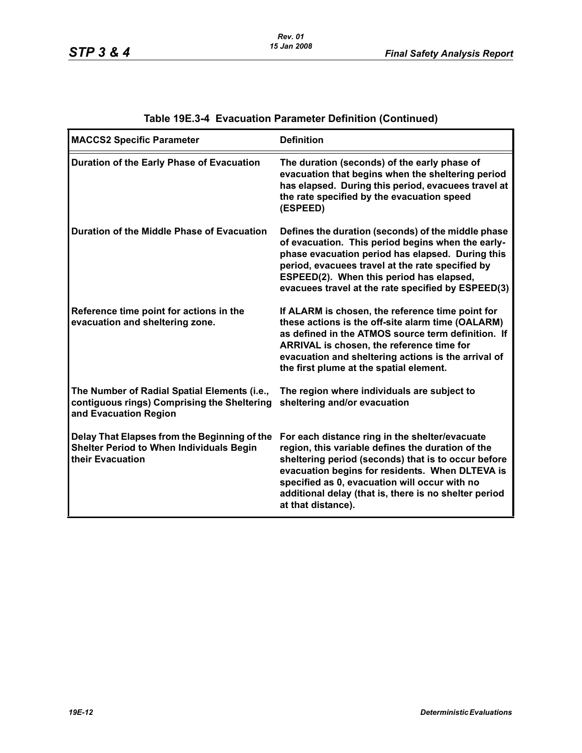| <b>MACCS2 Specific Parameter</b>                                                                                     | <b>Definition</b>                                                                                                                                                                                                                                                                                                                             |
|----------------------------------------------------------------------------------------------------------------------|-----------------------------------------------------------------------------------------------------------------------------------------------------------------------------------------------------------------------------------------------------------------------------------------------------------------------------------------------|
| Duration of the Early Phase of Evacuation                                                                            | The duration (seconds) of the early phase of<br>evacuation that begins when the sheltering period<br>has elapsed. During this period, evacuees travel at<br>the rate specified by the evacuation speed<br>(ESPEED)                                                                                                                            |
| Duration of the Middle Phase of Evacuation                                                                           | Defines the duration (seconds) of the middle phase<br>of evacuation. This period begins when the early-<br>phase evacuation period has elapsed. During this<br>period, evacuees travel at the rate specified by<br>ESPEED(2). When this period has elapsed,<br>evacuees travel at the rate specified by ESPEED(3)                             |
| Reference time point for actions in the<br>evacuation and sheltering zone.                                           | If ALARM is chosen, the reference time point for<br>these actions is the off-site alarm time (OALARM)<br>as defined in the ATMOS source term definition. If<br>ARRIVAL is chosen, the reference time for<br>evacuation and sheltering actions is the arrival of<br>the first plume at the spatial element.                                    |
| The Number of Radial Spatial Elements (i.e.,<br>contiguous rings) Comprising the Sheltering<br>and Evacuation Region | The region where individuals are subject to<br>sheltering and/or evacuation                                                                                                                                                                                                                                                                   |
| Delay That Elapses from the Beginning of the<br><b>Shelter Period to When Individuals Begin</b><br>their Evacuation  | For each distance ring in the shelter/evacuate<br>region, this variable defines the duration of the<br>sheltering period (seconds) that is to occur before<br>evacuation begins for residents. When DLTEVA is<br>specified as 0, evacuation will occur with no<br>additional delay (that is, there is no shelter period<br>at that distance). |

# **Table 19E.3-4 Evacuation Parameter Definition (Continued)**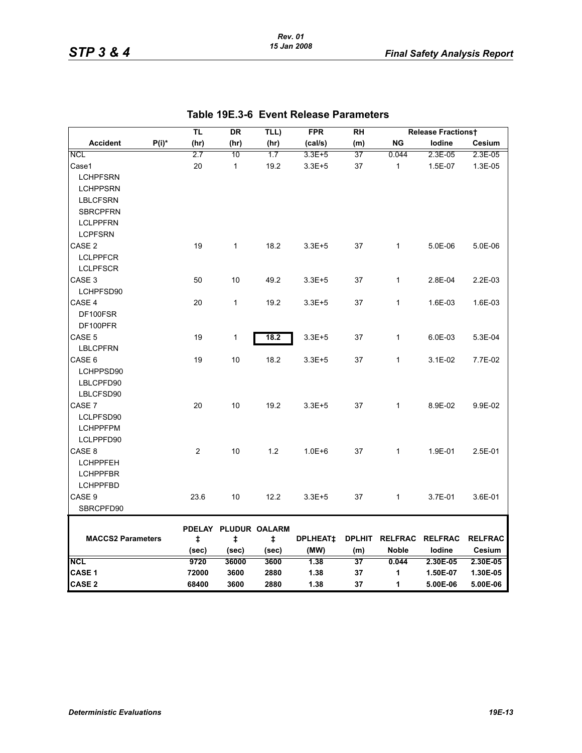#### *Rev. 01 15 Jan 2008*

|                          |          | TL             | DR                                 | TLL)       | <b>FPR</b>      | <b>RH</b> |                        | <b>Release Fractionst</b> |                |
|--------------------------|----------|----------------|------------------------------------|------------|-----------------|-----------|------------------------|---------------------------|----------------|
| <b>Accident</b>          | $P(i)^*$ | (hr)           | (hr)                               | (hr)       | (cal/s)         | (m)       | <b>NG</b>              | lodine                    | Cesium         |
| <b>NCL</b>               |          | 2.7            | 10                                 | 1.7        | $3.3E + 5$      | 37        | 0.044                  | 2.3E-05                   | 2.3E-05        |
| Case1                    |          | 20             | $\mathbf{1}$                       | 19.2       | $3.3E + 5$      | 37        | $\mathbf{1}$           | 1.5E-07                   | 1.3E-05        |
| <b>LCHPFSRN</b>          |          |                |                                    |            |                 |           |                        |                           |                |
| <b>LCHPPSRN</b>          |          |                |                                    |            |                 |           |                        |                           |                |
| <b>LBLCFSRN</b>          |          |                |                                    |            |                 |           |                        |                           |                |
| <b>SBRCPFRN</b>          |          |                |                                    |            |                 |           |                        |                           |                |
| <b>LCLPPFRN</b>          |          |                |                                    |            |                 |           |                        |                           |                |
| <b>LCPFSRN</b>           |          |                |                                    |            |                 |           |                        |                           |                |
| CASE <sub>2</sub>        |          | 19             | $\mathbf{1}$                       | 18.2       | $3.3E + 5$      | 37        | $\mathbf{1}$           | 5.0E-06                   | 5.0E-06        |
| <b>LCLPPFCR</b>          |          |                |                                    |            |                 |           |                        |                           |                |
| <b>LCLPFSCR</b>          |          |                |                                    |            |                 |           |                        |                           |                |
| CASE <sub>3</sub>        |          | 50             | 10                                 | 49.2       | $3.3E + 5$      | 37        | $\mathbf{1}$           | 2.8E-04                   | 2.2E-03        |
| LCHPFSD90                |          |                |                                    |            |                 |           |                        |                           |                |
| CASE 4                   |          | 20             | $\mathbf{1}$                       | 19.2       | $3.3E + 5$      | 37        | $\mathbf{1}$           | 1.6E-03                   | 1.6E-03        |
| DF100FSR                 |          |                |                                    |            |                 |           |                        |                           |                |
| DF100PFR                 |          |                |                                    |            |                 |           |                        |                           |                |
| CASE <sub>5</sub>        |          | 19             | 1                                  | 18.2       | $3.3E + 5$      | 37        | $\mathbf{1}$           | 6.0E-03                   | 5.3E-04        |
| <b>LBLCPFRN</b>          |          |                |                                    |            |                 |           |                        |                           |                |
| CASE 6                   |          | 19             | 10                                 | 18.2       | $3.3E + 5$      | 37        | 1                      | 3.1E-02                   | 7.7E-02        |
| LCHPPSD90                |          |                |                                    |            |                 |           |                        |                           |                |
| LBLCPFD90                |          |                |                                    |            |                 |           |                        |                           |                |
| LBLCFSD90                |          |                |                                    |            |                 |           |                        |                           |                |
| CASE 7                   |          | 20             | 10                                 | 19.2       | $3.3E + 5$      | 37        | $\mathbf{1}$           | 8.9E-02                   | 9.9E-02        |
| LCLPFSD90                |          |                |                                    |            |                 |           |                        |                           |                |
| <b>LCHPPFPM</b>          |          |                |                                    |            |                 |           |                        |                           |                |
| LCLPPFD90                |          |                |                                    |            |                 |           |                        |                           |                |
| CASE <sub>8</sub>        |          | $\overline{2}$ | 10                                 | 1.2        | $1.0E + 6$      | 37        | $\mathbf{1}$           | 1.9E-01                   | 2.5E-01        |
| <b>LCHPPFEH</b>          |          |                |                                    |            |                 |           |                        |                           |                |
| <b>LCHPPFBR</b>          |          |                |                                    |            |                 |           |                        |                           |                |
| <b>LCHPPFBD</b>          |          |                |                                    |            |                 |           |                        |                           |                |
| CASE 9                   |          | 23.6           | 10                                 | 12.2       | $3.3E + 5$      | 37        | 1                      | 3.7E-01                   | 3.6E-01        |
| SBRCPFD90                |          |                |                                    |            |                 |           |                        |                           |                |
|                          |          |                |                                    |            |                 |           |                        |                           |                |
| <b>MACCS2 Parameters</b> |          | $\ddagger$     | PDELAY PLUDUR OALARM<br>$\ddagger$ | $\ddagger$ | <b>DPLHEAT‡</b> |           | DPLHIT RELFRAC RELFRAC |                           | <b>RELFRAC</b> |
|                          |          | (sec)          | (sec)                              | (sec)      | (MW)            | (m)       | <b>Noble</b>           | lodine                    | Cesium         |
| <b>NCL</b>               |          | 9720           | 36000                              | 3600       | 1.38            | 37        | 0.044                  | 2.30E-05                  | 2.30E-05       |
| CASE <sub>1</sub>        |          | 72000          | 3600                               | 2880       | 1.38            | 37        | 1                      | 1.50E-07                  | 1.30E-05       |
| <b>CASE 2</b>            |          | 68400          | 3600                               | 2880       | 1.38            | 37        | 1                      | 5.00E-06                  | 5.00E-06       |

## **Table 19E.3-6 Event Release Parameters**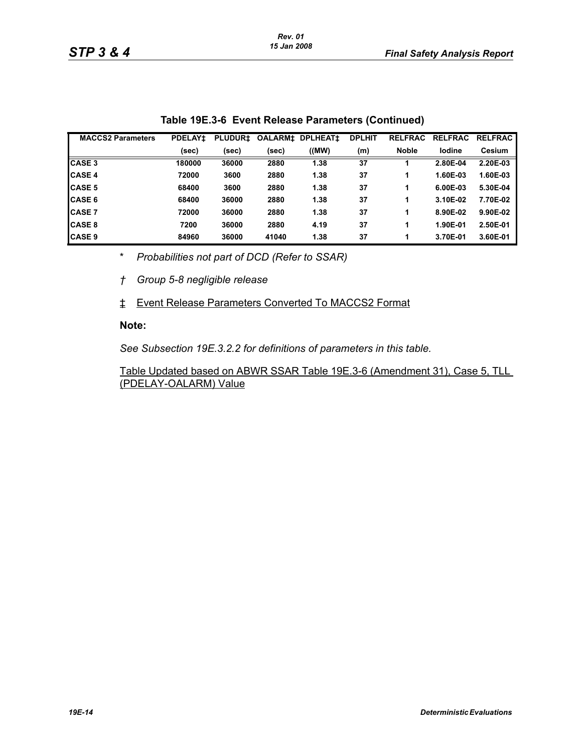| <b>MACCS2 Parameters</b> | <b>PDELAY1</b> | <b>PLUDUR1</b> | <b>OALARM‡</b> | <b>DPLHEAT1</b> | <b>DPLHIT</b> | <b>RELFRAC</b> | <b>RELFRAC</b> | <b>RELFRAC</b> |
|--------------------------|----------------|----------------|----------------|-----------------|---------------|----------------|----------------|----------------|
|                          | (sec)          | (sec)          | (sec)          | ((MW)           | (m)           | <b>Noble</b>   | lodine         | Cesium         |
| <b>CASE 3</b>            | 180000         | 36000          | 2880           | 1.38            | 37            |                | 2.80E-04       | 2.20E-03       |
| <b>CASE 4</b>            | 72000          | 3600           | 2880           | 1.38            | 37            | 1              | 1.60E-03       | 1.60E-03       |
| <b>CASE 5</b>            | 68400          | 3600           | 2880           | 1.38            | 37            | 1              | 6.00E-03       | 5.30E-04       |
| <b>CASE 6</b>            | 68400          | 36000          | 2880           | 1.38            | 37            | 1              | 3.10E-02       | 7.70E-02       |
| <b>CASE 7</b>            | 72000          | 36000          | 2880           | 1.38            | 37            | 1              | 8.90E-02       | 9.90E-02       |
| <b>CASE 8</b>            | 7200           | 36000          | 2880           | 4.19            | 37            | 1              | 1.90E-01       | 2.50E-01       |
| <b>CASE 9</b>            | 84960          | 36000          | 41040          | 1.38            | 37            | 1              | 3.70E-01       | 3.60E-01       |

|  | Table 19E.3-6 Event Release Parameters (Continued) |  |  |
|--|----------------------------------------------------|--|--|
|--|----------------------------------------------------|--|--|

\* *Probabilities not part of DCD (Refer to SSAR)*

*† Group 5-8 negligible release*

‡ Event Release Parameters Converted To MACCS2 Format

#### **Note:**

*See Subsection 19E.3.2.2 for definitions of parameters in this table.*

Table Updated based on ABWR SSAR Table 19E.3-6 (Amendment 31), Case 5, TLL (PDELAY-OALARM) Value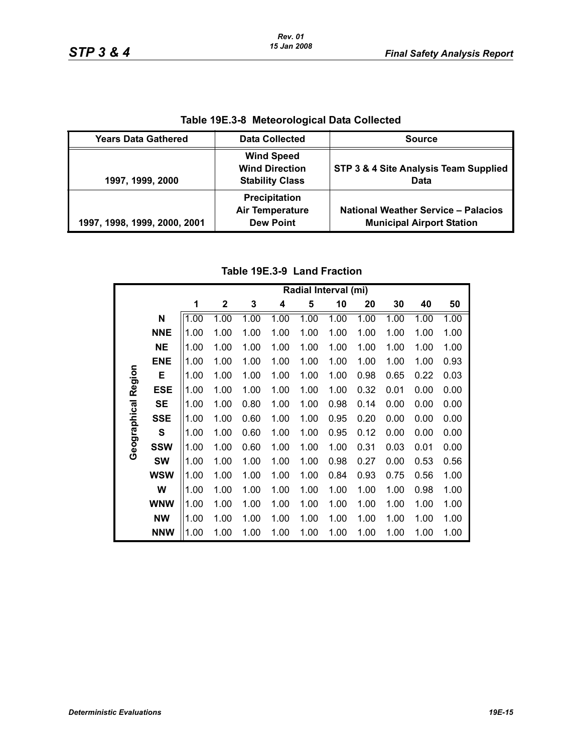|                              | Table 192.3-0 Meteorological Data Collected                          |                                                                                |
|------------------------------|----------------------------------------------------------------------|--------------------------------------------------------------------------------|
| <b>Years Data Gathered</b>   | <b>Data Collected</b>                                                | <b>Source</b>                                                                  |
| 1997, 1999, 2000             | <b>Wind Speed</b><br><b>Wind Direction</b><br><b>Stability Class</b> | STP 3 & 4 Site Analysis Team Supplied<br>Data                                  |
| 1997, 1998, 1999, 2000, 2001 | Precipitation<br><b>Air Temperature</b><br><b>Dew Point</b>          | <b>National Weather Service - Palacios</b><br><b>Municipal Airport Station</b> |

**Table 19E.3-8 Meteorological Data Collected**

# **Table 19E.3-9 Land Fraction**

|                     |              |      |                  |      |      |      | Radial Interval (mi) |      |      |      |      |
|---------------------|--------------|------|------------------|------|------|------|----------------------|------|------|------|------|
|                     |              | 1    | $\boldsymbol{2}$ | 3    | 4    | 5    | 10                   | 20   | 30   | 40   | 50   |
|                     | N            | 1.00 | 1.00             | 1.00 | 1.00 | 1.00 | 1.00                 | 1.00 | 1.00 | 1.00 | 1.00 |
|                     | <b>NNE</b>   | 1.00 | 1.00             | 1.00 | 1.00 | 1.00 | 1.00                 | 1.00 | 1.00 | 1.00 | 1.00 |
|                     | <b>NE</b>    | 1.00 | 1.00             | 1.00 | 1.00 | 1.00 | 1.00                 | 1.00 | 1.00 | 1.00 | 1.00 |
|                     | <b>ENE</b>   | 1.00 | 1.00             | 1.00 | 1.00 | 1.00 | 1.00                 | 1.00 | 1.00 | 1.00 | 0.93 |
|                     | Е            | 1.00 | 1.00             | 1.00 | 1.00 | 1.00 | 1.00                 | 0.98 | 0.65 | 0.22 | 0.03 |
| Geographical Region | <b>ESE</b>   | 1.00 | 1.00             | 1.00 | 1.00 | 1.00 | 1.00                 | 0.32 | 0.01 | 0.00 | 0.00 |
|                     | <b>SE</b>    | 1.00 | 1.00             | 0.80 | 1.00 | 1.00 | 0.98                 | 0.14 | 0.00 | 0.00 | 0.00 |
|                     | <b>SSE</b>   | 1.00 | 1.00             | 0.60 | 1.00 | 1.00 | 0.95                 | 0.20 | 0.00 | 0.00 | 0.00 |
|                     | $\mathbf{s}$ | 1.00 | 1.00             | 0.60 | 1.00 | 1.00 | 0.95                 | 0.12 | 0.00 | 0.00 | 0.00 |
|                     | <b>SSW</b>   | 1.00 | 1.00             | 0.60 | 1.00 | 1.00 | 1.00                 | 0.31 | 0.03 | 0.01 | 0.00 |
|                     | <b>SW</b>    | 1.00 | 1.00             | 1.00 | 1.00 | 1.00 | 0.98                 | 0.27 | 0.00 | 0.53 | 0.56 |
|                     | <b>WSW</b>   | 1.00 | 1.00             | 1.00 | 1.00 | 1.00 | 0.84                 | 0.93 | 0.75 | 0.56 | 1.00 |
|                     | W            | 1.00 | 1.00             | 1.00 | 1.00 | 1.00 | 1.00                 | 1.00 | 1.00 | 0.98 | 1.00 |
|                     | <b>WNW</b>   | 1.00 | 1.00             | 1.00 | 1.00 | 1.00 | 1.00                 | 1.00 | 1.00 | 1.00 | 1.00 |
|                     | <b>NW</b>    | 1.00 | 1.00             | 1.00 | 1.00 | 1.00 | 1.00                 | 1.00 | 1.00 | 1.00 | 1.00 |
|                     | <b>NNW</b>   | 1.00 | 1.00             | 1.00 | 1.00 | 1.00 | 1.00                 | 1.00 | 1.00 | 1.00 | 1.00 |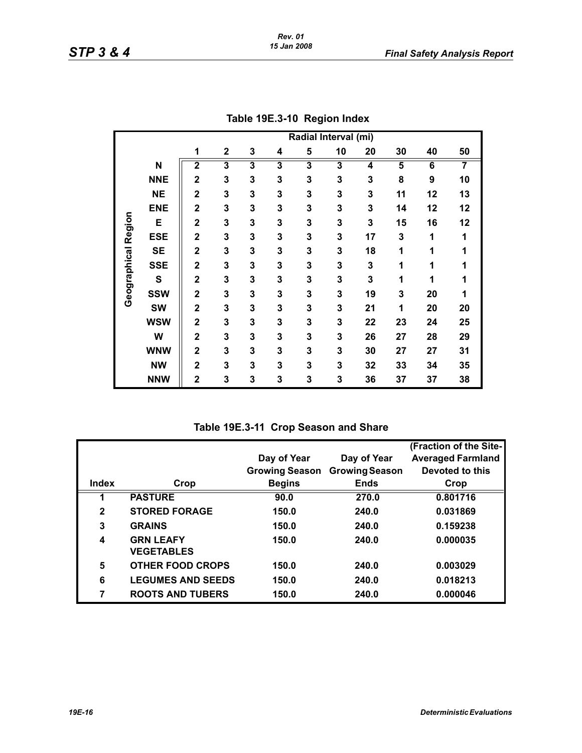|              |            | Radial Interval (mi)    |                         |   |   |   |                         |    |                         |    |                |  |
|--------------|------------|-------------------------|-------------------------|---|---|---|-------------------------|----|-------------------------|----|----------------|--|
|              |            | 1                       | 2                       | 3 | 4 | 5 | 10                      | 20 | 30                      | 40 | 50             |  |
|              | N          | $\overline{\mathbf{2}}$ | $\overline{\mathbf{3}}$ | 3 | 3 | 3 | $\overline{\mathbf{3}}$ | 4  | $\overline{\mathbf{5}}$ | 6  | $\overline{7}$ |  |
|              | <b>NNE</b> | $\overline{\mathbf{2}}$ | 3                       | 3 | 3 | 3 | 3                       | 3  | 8                       | 9  | 10             |  |
|              | <b>NE</b>  | $\mathbf 2$             | 3                       | 3 | 3 | 3 | 3                       | 3  | 11                      | 12 | 13             |  |
|              | <b>ENE</b> | $\overline{2}$          | 3                       | 3 | 3 | 3 | 3                       | 3  | 14                      | 12 | 12             |  |
|              | Е          | $\overline{2}$          | 3                       | 3 | 3 | 3 | 3                       | 3  | 15                      | 16 | 12             |  |
| Region       | <b>ESE</b> | $\overline{\mathbf{2}}$ | 3                       | 3 | 3 | 3 | 3                       | 17 | 3                       | 1  | 1              |  |
|              | <b>SE</b>  | $\mathbf 2$             | 3                       | 3 | 3 | 3 | 3                       | 18 | 1                       | 1  | 1              |  |
|              | <b>SSE</b> | $\mathbf 2$             | 3                       | 3 | 3 | 3 | 3                       | 3  | 1                       | 1  | 1              |  |
| Geographical | S          | $\overline{2}$          | 3                       | 3 | 3 | 3 | 3                       | 3  | 1                       | 1  | 1              |  |
|              | <b>SSW</b> | $\mathbf 2$             | 3                       | 3 | 3 | 3 | 3                       | 19 | 3                       | 20 | 1              |  |
|              | <b>SW</b>  | $\mathbf 2$             | 3                       | 3 | 3 | 3 | 3                       | 21 | 1                       | 20 | 20             |  |
|              | <b>WSW</b> | $\overline{\mathbf{2}}$ | 3                       | 3 | 3 | 3 | 3                       | 22 | 23                      | 24 | 25             |  |
|              | W          | $\overline{\mathbf{2}}$ | 3                       | 3 | 3 | 3 | 3                       | 26 | 27                      | 28 | 29             |  |
|              | <b>WNW</b> | $\overline{\mathbf{2}}$ | 3                       | 3 | 3 | 3 | 3                       | 30 | 27                      | 27 | 31             |  |
|              | <b>NW</b>  | $\mathbf 2$             | 3                       | 3 | 3 | 3 | 3                       | 32 | 33                      | 34 | 35             |  |
|              | <b>NNW</b> | $\mathbf 2$             | 3                       | 3 | 3 | 3 | 3                       | 36 | 37                      | 37 | 38             |  |

| Table 19E.3-10 Region Index |  |
|-----------------------------|--|
|                             |  |

# **Table 19E.3-11 Crop Season and Share**

|              |                                       |                       |                       | (Fraction of the Site-   |
|--------------|---------------------------------------|-----------------------|-----------------------|--------------------------|
|              |                                       | Day of Year           | Day of Year           | <b>Averaged Farmland</b> |
|              |                                       | <b>Growing Season</b> | <b>Growing Season</b> | Devoted to this          |
| <b>Index</b> | Crop                                  | <b>Begins</b>         | <b>Ends</b>           | Crop                     |
|              | <b>PASTURE</b>                        | 90.0                  | 270.0                 | 0.801716                 |
| $\mathbf{2}$ | <b>STORED FORAGE</b>                  | 150.0                 | 240.0                 | 0.031869                 |
| 3            | <b>GRAINS</b>                         | 150.0                 | 240.0                 | 0.159238                 |
| 4            | <b>GRN LEAFY</b><br><b>VEGETABLES</b> | 150.0                 | 240.0                 | 0.000035                 |
| 5            | <b>OTHER FOOD CROPS</b>               | 150.0                 | 240.0                 | 0.003029                 |
| 6            | <b>LEGUMES AND SEEDS</b>              | 150.0                 | 240.0                 | 0.018213                 |
| 7            | <b>ROOTS AND TUBERS</b>               | 150.0                 | 240.0                 | 0.000046                 |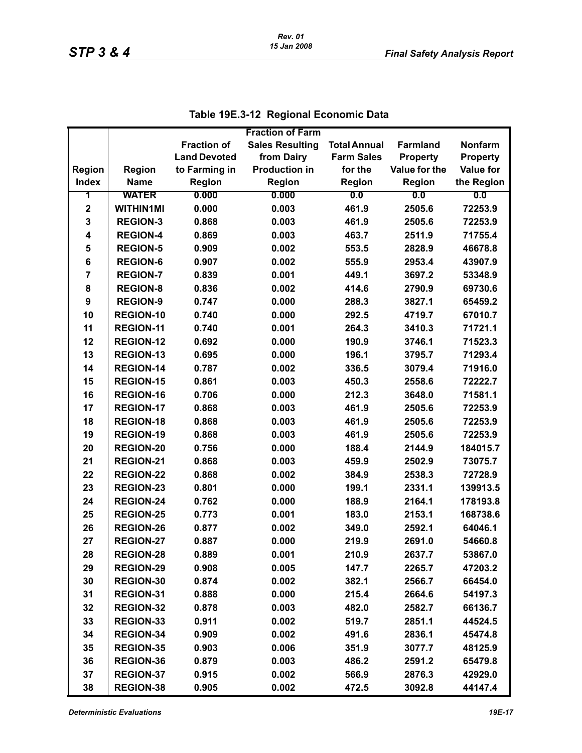|                         |                  |                     | <b>Fraction of Farm</b> |                     |                 |                  |
|-------------------------|------------------|---------------------|-------------------------|---------------------|-----------------|------------------|
|                         |                  | <b>Fraction of</b>  | <b>Sales Resulting</b>  | <b>Total Annual</b> | <b>Farmland</b> | <b>Nonfarm</b>   |
|                         |                  | <b>Land Devoted</b> | from Dairy              | <b>Farm Sales</b>   | <b>Property</b> | <b>Property</b>  |
| <b>Region</b>           | <b>Region</b>    | to Farming in       | <b>Production in</b>    | for the             | Value for the   | <b>Value for</b> |
| <b>Index</b>            | <b>Name</b>      | <b>Region</b>       | Region                  | <b>Region</b>       | Region          | the Region       |
| 1                       | <b>WATER</b>     | 0.000               | 0.000                   | 0.0                 | 0.0             | 0.0              |
| $\mathbf 2$             | <b>WITHIN1MI</b> | 0.000               | 0.003                   | 461.9               | 2505.6          | 72253.9          |
| 3                       | <b>REGION-3</b>  | 0.868               | 0.003                   | 461.9               | 2505.6          | 72253.9          |
| 4                       | <b>REGION-4</b>  | 0.869               | 0.003                   | 463.7               | 2511.9          | 71755.4          |
| 5                       | <b>REGION-5</b>  | 0.909               | 0.002                   | 553.5               | 2828.9          | 46678.8          |
| 6                       | <b>REGION-6</b>  | 0.907               | 0.002                   | 555.9               | 2953.4          | 43907.9          |
| $\overline{\mathbf{r}}$ | <b>REGION-7</b>  | 0.839               | 0.001                   | 449.1               | 3697.2          | 53348.9          |
| 8                       | <b>REGION-8</b>  | 0.836               | 0.002                   | 414.6               | 2790.9          | 69730.6          |
| 9                       | <b>REGION-9</b>  | 0.747               | 0.000                   | 288.3               | 3827.1          | 65459.2          |
| 10                      | <b>REGION-10</b> | 0.740               | 0.000                   | 292.5               | 4719.7          | 67010.7          |
| 11                      | <b>REGION-11</b> | 0.740               | 0.001                   | 264.3               | 3410.3          | 71721.1          |
| 12                      | <b>REGION-12</b> | 0.692               | 0.000                   | 190.9               | 3746.1          | 71523.3          |
| 13                      | <b>REGION-13</b> | 0.695               | 0.000                   | 196.1               | 3795.7          | 71293.4          |
| 14                      | REGION-14        | 0.787               | 0.002                   | 336.5               | 3079.4          | 71916.0          |
| 15                      | <b>REGION-15</b> | 0.861               | 0.003                   | 450.3               | 2558.6          | 72222.7          |
| 16                      | <b>REGION-16</b> | 0.706               | 0.000                   | 212.3               | 3648.0          | 71581.1          |
| 17                      | <b>REGION-17</b> | 0.868               | 0.003                   | 461.9               | 2505.6          | 72253.9          |
| 18                      | REGION-18        | 0.868               | 0.003                   | 461.9               | 2505.6          | 72253.9          |
| 19                      | <b>REGION-19</b> | 0.868               | 0.003                   | 461.9               | 2505.6          | 72253.9          |
| 20                      | <b>REGION-20</b> | 0.756               | 0.000                   | 188.4               | 2144.9          | 184015.7         |
| 21                      | <b>REGION-21</b> | 0.868               | 0.003                   | 459.9               | 2502.9          | 73075.7          |
| 22                      | <b>REGION-22</b> | 0.868               | 0.002                   | 384.9               | 2538.3          | 72728.9          |
| 23                      | <b>REGION-23</b> | 0.801               | 0.000                   | 199.1               | 2331.1          | 139913.5         |
| 24                      | <b>REGION-24</b> | 0.762               | 0.000                   | 188.9               | 2164.1          | 178193.8         |
| 25                      | <b>REGION-25</b> | 0.773               | 0.001                   | 183.0               | 2153.1          | 168738.6         |
| 26                      | <b>REGION-26</b> | 0.877               | 0.002                   | 349.0               | 2592.1          | 64046.1          |
| 27                      | <b>REGION-27</b> | 0.887               | 0.000                   | 219.9               | 2691.0          | 54660.8          |
| 28                      | <b>REGION-28</b> | 0.889               | 0.001                   | 210.9               | 2637.7          | 53867.0          |
| 29                      | <b>REGION-29</b> | 0.908               | 0.005                   | 147.7               | 2265.7          | 47203.2          |
| 30                      | REGION-30        | 0.874               | 0.002                   | 382.1               | 2566.7          | 66454.0          |
| 31                      | REGION-31        | 0.888               | 0.000                   | 215.4               | 2664.6          | 54197.3          |
| 32                      | <b>REGION-32</b> | 0.878               | 0.003                   | 482.0               | 2582.7          | 66136.7          |
| 33                      | <b>REGION-33</b> | 0.911               | 0.002                   | 519.7               | 2851.1          | 44524.5          |
| 34                      | REGION-34        | 0.909               | 0.002                   | 491.6               | 2836.1          | 45474.8          |
| 35                      | <b>REGION-35</b> | 0.903               | 0.006                   | 351.9               | 3077.7          | 48125.9          |
| 36                      | REGION-36        | 0.879               | 0.003                   | 486.2               | 2591.2          | 65479.8          |
| 37                      | <b>REGION-37</b> | 0.915               | 0.002                   | 566.9               | 2876.3          | 42929.0          |
| 38                      | <b>REGION-38</b> | 0.905               | 0.002                   | 472.5               | 3092.8          | 44147.4          |

|  | Table 19E.3-12 Regional Economic Data |
|--|---------------------------------------|
|--|---------------------------------------|